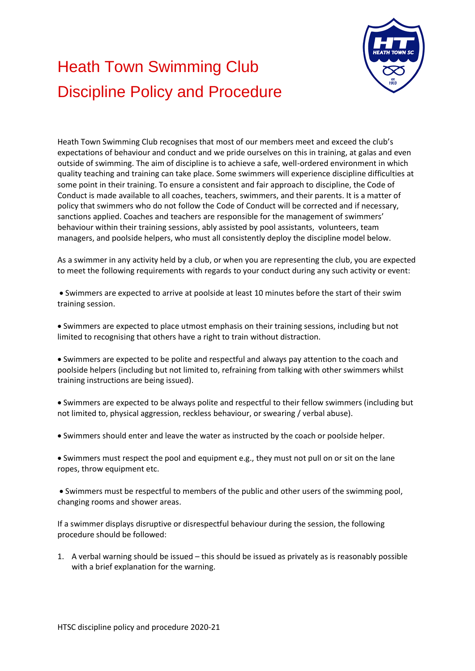

## Heath Town Swimming Club Discipline Policy and Procedure

Heath Town Swimming Club recognises that most of our members meet and exceed the club's expectations of behaviour and conduct and we pride ourselves on this in training, at galas and even outside of swimming. The aim of discipline is to achieve a safe, well-ordered environment in which quality teaching and training can take place. Some swimmers will experience discipline difficulties at some point in their training. To ensure a consistent and fair approach to discipline, the Code of Conduct is made available to all coaches, teachers, swimmers, and their parents. It is a matter of policy that swimmers who do not follow the Code of Conduct will be corrected and if necessary, sanctions applied. Coaches and teachers are responsible for the management of swimmers' behaviour within their training sessions, ably assisted by pool assistants, volunteers, team managers, and poolside helpers, who must all consistently deploy the discipline model below.

As a swimmer in any activity held by a club, or when you are representing the club, you are expected to meet the following requirements with regards to your conduct during any such activity or event:

• Swimmers are expected to arrive at poolside at least 10 minutes before the start of their swim training session.

• Swimmers are expected to place utmost emphasis on their training sessions, including but not limited to recognising that others have a right to train without distraction.

• Swimmers are expected to be polite and respectful and always pay attention to the coach and poolside helpers (including but not limited to, refraining from talking with other swimmers whilst training instructions are being issued).

• Swimmers are expected to be always polite and respectful to their fellow swimmers (including but not limited to, physical aggression, reckless behaviour, or swearing / verbal abuse).

• Swimmers should enter and leave the water as instructed by the coach or poolside helper.

• Swimmers must respect the pool and equipment e.g., they must not pull on or sit on the lane ropes, throw equipment etc.

• Swimmers must be respectful to members of the public and other users of the swimming pool, changing rooms and shower areas.

If a swimmer displays disruptive or disrespectful behaviour during the session, the following procedure should be followed:

1. A verbal warning should be issued – this should be issued as privately as is reasonably possible with a brief explanation for the warning.